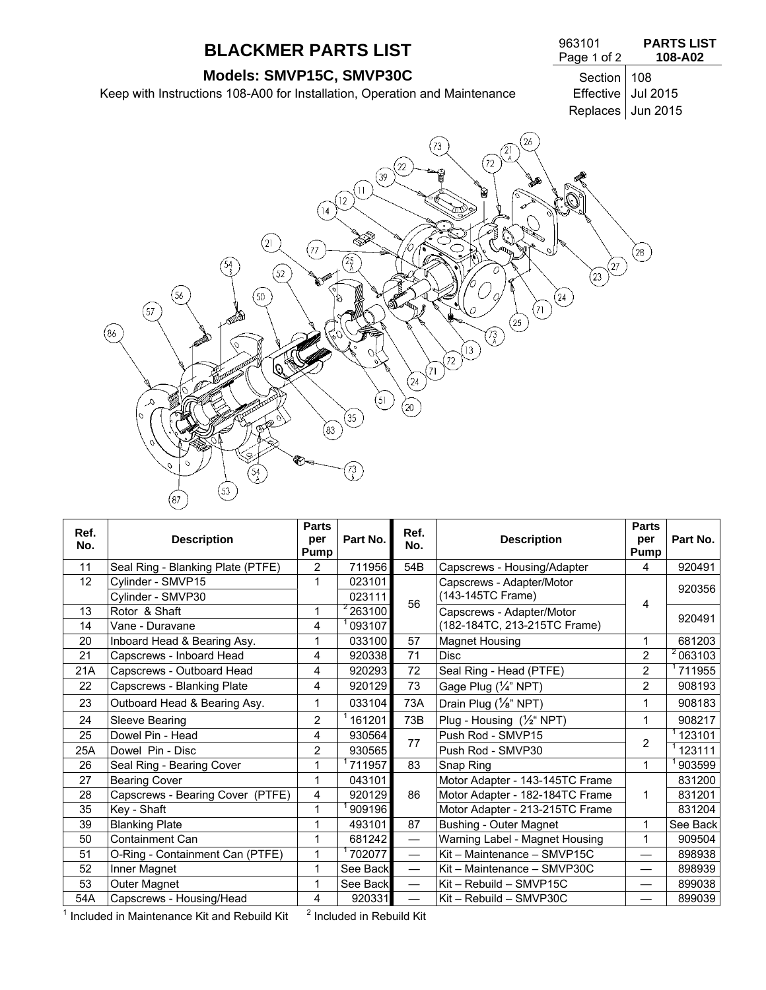# **BLACKMER PARTS LIST** 963101

# **Models: SMVP15C, SMVP30C** Section 108

Keep with Instructions 108-A00 for Installation, Operation and Maintenance Effective Jul 2015

#### Page 1 of 2 **PARTS LIST 108-A02**

Replaces Jun 2015



| Ref.<br>No. | <b>Description</b>                | <b>Parts</b><br>per<br>Pump | Part No. | Ref.<br>No.                   | <b>Description</b>                 | <b>Parts</b><br>per<br>Pump | Part No.             |
|-------------|-----------------------------------|-----------------------------|----------|-------------------------------|------------------------------------|-----------------------------|----------------------|
| 11          | Seal Ring - Blanking Plate (PTFE) | $\overline{2}$              | 711956   | 54B                           | Capscrews - Housing/Adapter        | 4                           | 920491               |
| 12          | Cylinder - SMVP15                 | 1                           | 023101   |                               | Capscrews - Adapter/Motor          |                             | 920356               |
|             | Cylinder - SMVP30                 |                             | 023111   | 56                            | (143-145TC Frame)                  | 4                           |                      |
| 13          | Rotor & Shaft                     | 1                           | 263100   |                               | Capscrews - Adapter/Motor          |                             | 920491               |
| 14          | Vane - Duravane                   | 4                           | 093107   |                               | (182-184TC, 213-215TC Frame)       |                             |                      |
| 20          | Inboard Head & Bearing Asy.       | 1                           | 033100   | 57                            | <b>Magnet Housing</b>              |                             | 681203               |
| 21          | Capscrews - Inboard Head          | 4                           | 920338   | 71                            | Disc                               | $\overline{2}$              | $\frac{2}{10}$ 63103 |
| 21A         | Capscrews - Outboard Head         | 4                           | 920293   | 72                            | Seal Ring - Head (PTFE)            | $\overline{2}$              | 711955               |
| 22          | Capscrews - Blanking Plate        | 4                           | 920129   | 73                            | Gage Plug (1/4" NPT)               | $\overline{2}$              | 908193               |
| 23          | Outboard Head & Bearing Asy.      | 1                           | 033104   | 73A                           | Drain Plug $(\frac{1}{8}$ " NPT)   | 1                           | 908183               |
| 24          | Sleeve Bearing                    | 2                           | 161201   | 73B                           | Plug - Housing $(\frac{1}{2}$ NPT) | 1                           | 908217               |
| 25          | Dowel Pin - Head                  | 4                           | 930564   | 77                            | Push Rod - SMVP15                  | $\overline{2}$              | 123101               |
| 25A         | Dowel Pin - Disc                  | $\overline{2}$              | 930565   |                               | Push Rod - SMVP30                  |                             | 123111               |
| 26          | Seal Ring - Bearing Cover         | 1                           | 711957   | 83                            | Snap Ring                          | 1                           | 903599               |
| 27          | <b>Bearing Cover</b>              | 1                           | 043101   |                               | Motor Adapter - 143-145TC Frame    |                             | 831200               |
| 28          | Capscrews - Bearing Cover (PTFE)  | 4                           | 920129   | 86                            | Motor Adapter - 182-184TC Frame    | 1                           | 831201               |
| 35          | Key - Shaft                       | 1                           | 909196   |                               | Motor Adapter - 213-215TC Frame    |                             | 831204               |
| 39          | <b>Blanking Plate</b>             | 1                           | 493101   | 87                            | Bushing - Outer Magnet             | 1                           | See Back             |
| 50          | <b>Containment Can</b>            | 1                           | 681242   |                               | Warning Label - Magnet Housing     | 1                           | 909504               |
| 51          | O-Ring - Containment Can (PTFE)   | 1                           | 702077   |                               | Kit - Maintenance - SMVP15C        | $\overline{\phantom{0}}$    | 898938               |
| 52          | Inner Magnet                      | 1                           | See Back | $\overbrace{\phantom{aaaaa}}$ | Kit - Maintenance - SMVP30C        | —                           | 898939               |
| 53          | Outer Magnet                      | 1                           | See Back |                               | Kit - Rebuild - SMVP15C            |                             | 899038               |
| 54A         | Capscrews - Housing/Head          | 4<br>2.                     | 920331   |                               | Kit - Rebuild - SMVP30C            |                             | 899039               |

 $1$  Included in Maintenance Kit and Rebuild Kit  $3$ 

 $<sup>2</sup>$  Included in Rebuild Kit</sup>